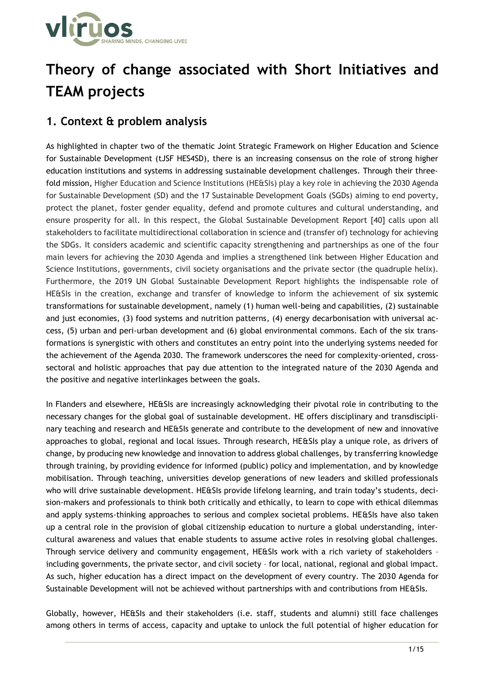

# **Theory of change associated with Short Initiatives and TEAM projects**

## **1. Context & problem analysis**

As highlighted in chapter two of the thematic Joint Strategic Framework on Higher Education and Science for Sustainable Development (tJSF HES4SD), there is an increasing consensus on the role of strong higher education institutions and systems in addressing sustainable development challenges. Through their threefold mission, Higher Education and Science Institutions (HE&SIs) play a key role in achieving the 2030 Agenda for Sustainable Development (SD) and the 17 Sustainable Development Goals (SGDs) aiming to end poverty, protect the planet, foster gender equality, defend and promote cultures and cultural understanding, and ensure prosperity for all. In this respect, the Global Sustainable Development Report [40] calls upon all stakeholders to facilitate multidirectional collaboration in science and (transfer of) technology for achieving the SDGs. It considers academic and scientific capacity strengthening and partnerships as one of the four main levers for achieving the 2030 Agenda and implies a strengthened link between Higher Education and Science Institutions, governments, civil society organisations and the private sector (the quadruple helix). Furthermore, the 2019 UN Global Sustainable Development Report highlights the indispensable role of HE&SIs in the creation, exchange and transfer of knowledge to inform the achievement of six systemic transformations for sustainable development, namely (1) human well-being and capabilities, (2) sustainable and just economies, (3) food systems and nutrition patterns, (4) energy decarbonisation with universal access, (5) urban and peri-urban development and (6) global environmental commons. Each of the six transformations is synergistic with others and constitutes an entry point into the underlying systems needed for the achievement of the Agenda 2030. The framework underscores the need for complexity-oriented, crosssectoral and holistic approaches that pay due attention to the integrated nature of the 2030 Agenda and the positive and negative interlinkages between the goals.

In Flanders and elsewhere, HE&SIs are increasingly acknowledging their pivotal role in contributing to the necessary changes for the global goal of sustainable development. HE offers disciplinary and transdisciplinary teaching and research and HE&SIs generate and contribute to the development of new and innovative approaches to global, regional and local issues. Through research, HE&SIs play a unique role, as drivers of change, by producing new knowledge and innovation to address global challenges, by transferring knowledge through training, by providing evidence for informed (public) policy and implementation, and by knowledge mobilisation. Through teaching, universities develop generations of new leaders and skilled professionals who will drive sustainable development. HE&SIs provide lifelong learning, and train today's students, decision-makers and professionals to think both critically and ethically, to learn to cope with ethical dilemmas and apply systems-thinking approaches to serious and complex societal problems. HE&SIs have also taken up a central role in the provision of global citizenship education to nurture a global understanding, intercultural awareness and values that enable students to assume active roles in resolving global challenges. Through service delivery and community engagement, HE&SIs work with a rich variety of stakeholders – including governments, the private sector, and civil society – for local, national, regional and global impact. As such, higher education has a direct impact on the development of every country. The 2030 Agenda for Sustainable Development will not be achieved without partnerships with and contributions from HE&SIs.

Globally, however, HE&SIs and their stakeholders (i.e. staff, students and alumni) still face challenges among others in terms of access, capacity and uptake to unlock the full potential of higher education for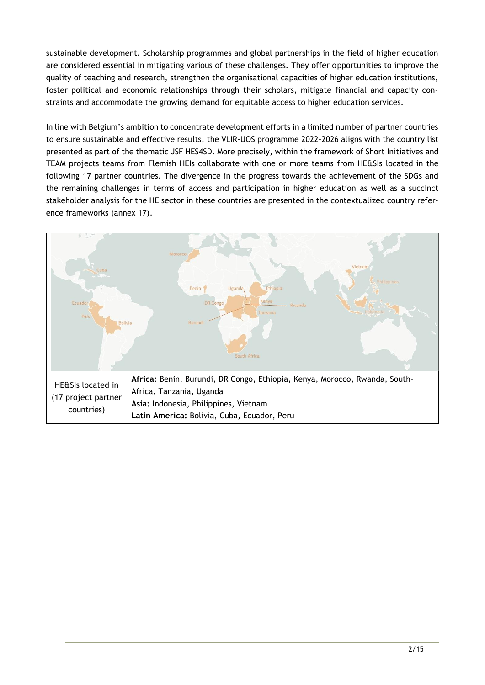sustainable development. Scholarship programmes and global partnerships in the field of higher education are considered essential in mitigating various of these challenges. They offer opportunities to improve the quality of teaching and research, strengthen the organisational capacities of higher education institutions, foster political and economic relationships through their scholars, mitigate financial and capacity constraints and accommodate the growing demand for equitable access to higher education services.

In line with Belgium's ambition to concentrate development efforts in a limited number of partner countries to ensure sustainable and effective results, the VLIR-UOS programme 2022-2026 aligns with the country list presented as part of the thematic JSF HES4SD. More precisely, within the framework of Short Initiatives and TEAM projects teams from Flemish HEIs collaborate with one or more teams from HE&SIs located in the following 17 partner countries. The divergence in the progress towards the achievement of the SDGs and the remaining challenges in terms of access and participation in higher education as well as a succinct stakeholder analysis for the HE sector in these countries are presented in the contextualized country reference frameworks (annex 17).

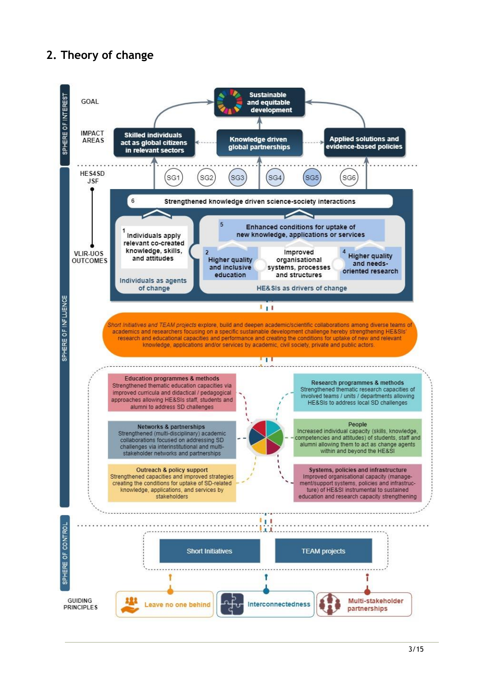# **2. Theory of change**

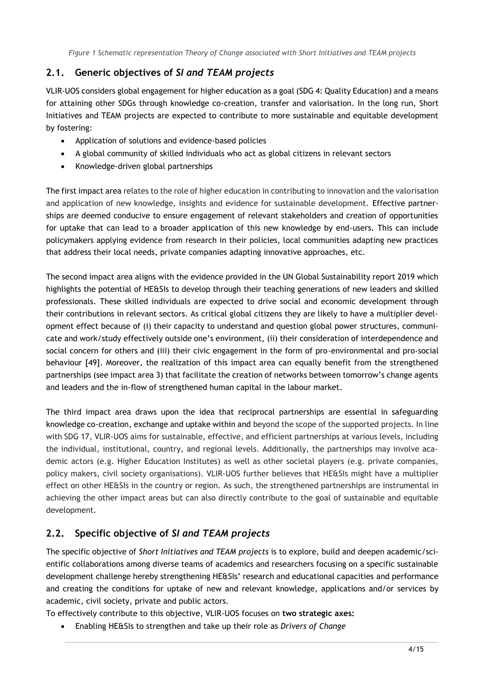*Figure 1 Schematic representation Theory of Change associated with Short Initiatives and TEAM projects*

#### **2.1. Generic objectives of** *SI and TEAM projects*

VLIR-UOS considers global engagement for higher education as a goal (SDG 4: Quality Education) and a means for attaining other SDGs through knowledge co-creation, transfer and valorisation. In the long run, Short Initiatives and TEAM projects are expected to contribute to more sustainable and equitable development by fostering:

- Application of solutions and evidence-based policies
- A global community of skilled individuals who act as global citizens in relevant sectors
- Knowledge-driven global partnerships

The first impact area relates to the role of higher education in contributing to innovation and the valorisation and application of new knowledge, insights and evidence for sustainable development. Effective partnerships are deemed conducive to ensure engagement of relevant stakeholders and creation of opportunities for uptake that can lead to a broader application of this new knowledge by end-users. This can include policymakers applying evidence from research in their policies, local communities adapting new practices that address their local needs, private companies adapting innovative approaches, etc.

The second impact area aligns with the evidence provided in the UN Global Sustainability report 2019 which highlights the potential of HE&SIs to develop through their teaching generations of new leaders and skilled professionals. These skilled individuals are expected to drive social and economic development through their contributions in relevant sectors. As critical global citizens they are likely to have a multiplier development effect because of (i) their capacity to understand and question global power structures, communicate and work/study effectively outside one's environment, (ii) their consideration of interdependence and social concern for others and (iii) their civic engagement in the form of pro-environmental and pro-social behaviour [49]. Moreover, the realization of this impact area can equally benefit from the strengthened partnerships (see impact area 3) that facilitate the creation of networks between tomorrow's change agents and leaders and the in-flow of strengthened human capital in the labour market.

The third impact area draws upon the idea that reciprocal partnerships are essential in safeguarding knowledge co-creation, exchange and uptake within and beyond the scope of the supported projects. In line with SDG 17, VLIR-UOS aims for sustainable, effective, and efficient partnerships at various levels, including the individual, institutional, country, and regional levels. Additionally, the partnerships may involve academic actors (e.g. Higher Education Institutes) as well as other societal players (e.g. private companies, policy makers, civil society organisations). VLIR-UOS further believes that HE&SIs might have a multiplier effect on other HE&SIs in the country or region. As such, the strengthened partnerships are instrumental in achieving the other impact areas but can also directly contribute to the goal of sustainable and equitable development.

## **2.2. Specific objective of** *SI and TEAM projects*

The specific objective of *Short Initiatives and TEAM projects* is to explore, build and deepen academic/scientific collaborations among diverse teams of academics and researchers focusing on a specific sustainable development challenge hereby strengthening HE&SIs' research and educational capacities and performance and creating the conditions for uptake of new and relevant knowledge, applications and/or services by academic, civil society, private and public actors.

To effectively contribute to this objective, VLIR-UOS focuses on **two strategic axes:**

• Enabling HE&SIs to strengthen and take up their role as *Drivers of Change*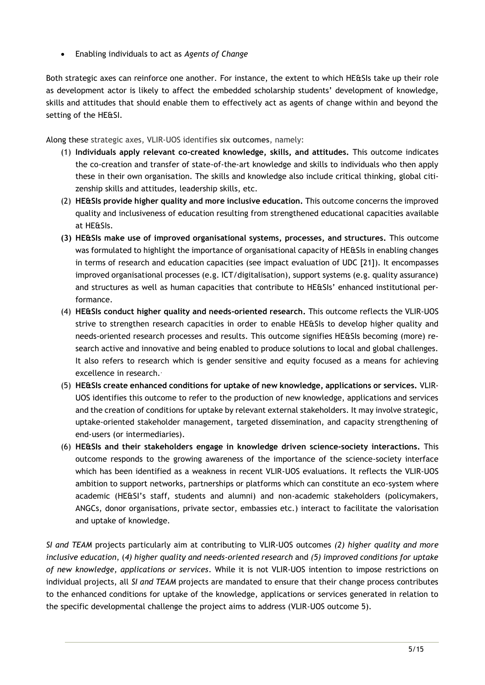• Enabling individuals to act as *Agents of Change*

Both strategic axes can reinforce one another. For instance, the extent to which HE&SIs take up their role as development actor is likely to affect the embedded scholarship students' development of knowledge, skills and attitudes that should enable them to effectively act as agents of change within and beyond the setting of the HE&SI.

Along these strategic axes, VLIR-UOS identifies **six outcomes**, namely:

- (1) **Individuals apply relevant co-created knowledge, skills, and attitudes.** This outcome indicates the co-creation and transfer of state-of-the-art knowledge and skills to individuals who then apply these in their own organisation. The skills and knowledge also include critical thinking, global citizenship skills and attitudes, leadership skills, etc.
- (2) **HE&SIs provide higher quality and more inclusive education.** This outcome concerns the improved quality and inclusiveness of education resulting from strengthened educational capacities available at HE&SIs.
- **(3) HE&SIs make use of improved organisational systems, processes, and structures.** This outcome was formulated to highlight the importance of organisational capacity of HE&SIs in enabling changes in terms of research and education capacities (see impact evaluation of UDC [21]). It encompasses improved organisational processes (e.g. ICT/digitalisation), support systems (e.g. quality assurance) and structures as well as human capacities that contribute to HE&SIs' enhanced institutional performance.
- (4) **HE&SIs conduct higher quality and needs-oriented research.** This outcome reflects the VLIR-UOS strive to strengthen research capacities in order to enable HE&SIs to develop higher quality and needs-oriented research processes and results. This outcome signifies HE&SIs becoming (more) research active and innovative and being enabled to produce solutions to local and global challenges. It also refers to research which is gender sensitive and equity focused as a means for achieving excellence in research.
- (5) **HE&SIs create enhanced conditions for uptake of new knowledge, applications or services.** VLIR-UOS identifies this outcome to refer to the production of new knowledge, applications and services and the creation of conditions for uptake by relevant external stakeholders. It may involve strategic, uptake-oriented stakeholder management, targeted dissemination, and capacity strengthening of end-users (or intermediaries).
- (6) **HE&SIs and their stakeholders engage in knowledge driven science-society interactions.** This outcome responds to the growing awareness of the importance of the science-society interface which has been identified as a weakness in recent VLIR-UOS evaluations. It reflects the VLIR-UOS ambition to support networks, partnerships or platforms which can constitute an eco-system where academic (HE&SI's staff, students and alumni) and non-academic stakeholders (policymakers, ANGCs, donor organisations, private sector, embassies etc.) interact to facilitate the valorisation and uptake of knowledge.

*SI and TEAM* projects particularly aim at contributing to VLIR-UOS outcomes *(2) higher quality and more inclusive education*, (*4) higher quality and needs-oriented research* and *(5) improved conditions for uptake of new knowledge, applications or services*. While it is not VLIR-UOS intention to impose restrictions on individual projects, all *SI and TEAM* projects are mandated to ensure that their change process contributes to the enhanced conditions for uptake of the knowledge, applications or services generated in relation to the specific developmental challenge the project aims to address (VLIR-UOS outcome 5).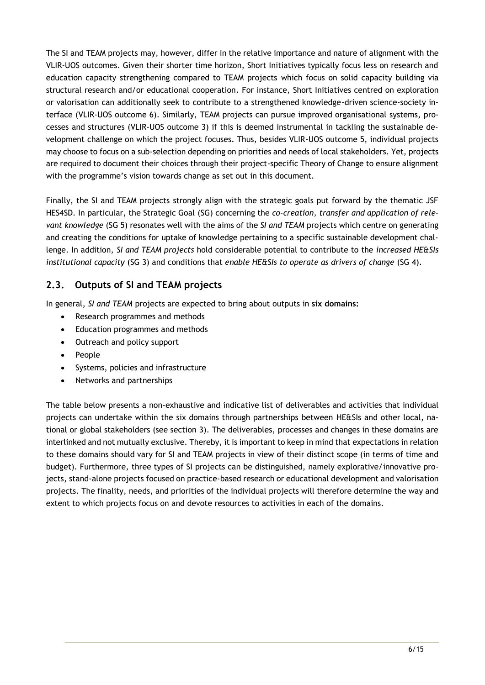The SI and TEAM projects may, however, differ in the relative importance and nature of alignment with the VLIR-UOS outcomes. Given their shorter time horizon, Short Initiatives typically focus less on research and education capacity strengthening compared to TEAM projects which focus on solid capacity building via structural research and/or educational cooperation. For instance, Short Initiatives centred on exploration or valorisation can additionally seek to contribute to a strengthened knowledge-driven science-society interface (VLIR-UOS outcome 6). Similarly, TEAM projects can pursue improved organisational systems, processes and structures (VLIR-UOS outcome 3) if this is deemed instrumental in tackling the sustainable development challenge on which the project focuses. Thus, besides VLIR-UOS outcome 5, individual projects may choose to focus on a sub-selection depending on priorities and needs of local stakeholders. Yet, projects are required to document their choices through their project-specific Theory of Change to ensure alignment with the programme's vision towards change as set out in this document.

Finally, the SI and TEAM projects strongly align with the strategic goals put forward by the thematic JSF HES4SD. In particular, the Strategic Goal (SG) concerning the *co-creation, transfer and application of relevant knowledge* (SG 5) resonates well with the aims of the *SI and TEAM* projects which centre on generating and creating the conditions for uptake of knowledge pertaining to a specific sustainable development challenge. In addition, *SI and TEAM projects* hold considerable potential to contribute to the *increased HE&SIs institutional capacity* (SG 3) and conditions that *enable HE&SIs to operate as drivers of change* (SG 4).

#### **2.3. Outputs of SI and TEAM projects**

In general, *SI and TEAM* projects are expected to bring about outputs in **six domains:**

- Research programmes and methods
- Education programmes and methods
- Outreach and policy support
- People
- Systems, policies and infrastructure
- Networks and partnerships

The table below presents a non-exhaustive and indicative list of deliverables and activities that individual projects can undertake within the six domains through partnerships between HE&SIs and other local, national or global stakeholders (see section 3). The deliverables, processes and changes in these domains are interlinked and not mutually exclusive. Thereby, it is important to keep in mind that expectations in relation to these domains should vary for SI and TEAM projects in view of their distinct scope (in terms of time and budget). Furthermore, three types of SI projects can be distinguished, namely explorative/innovative projects, stand-alone projects focused on practice-based research or educational development and valorisation projects. The finality, needs, and priorities of the individual projects will therefore determine the way and extent to which projects focus on and devote resources to activities in each of the domains.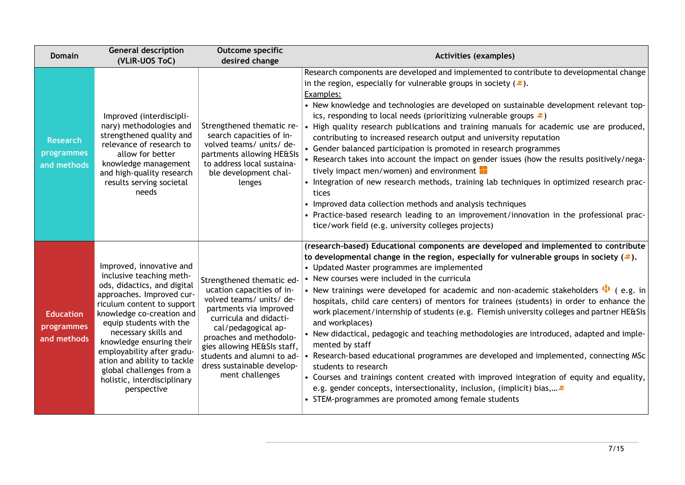| <b>Domain</b>                                 | <b>General description</b><br>(VLIR-UOS ToC)                                                                                                                                                                                                                                                                                                                                                      | <b>Outcome specific</b><br>desired change                                                                                                                                                                                                                                                              | <b>Activities (examples)</b>                                                                                                                                                                                                                                                                                                                                                                                                                                                                                                                                                                                                                                                                                                                                                                                                                                                                                                                                                                                                                                                |
|-----------------------------------------------|---------------------------------------------------------------------------------------------------------------------------------------------------------------------------------------------------------------------------------------------------------------------------------------------------------------------------------------------------------------------------------------------------|--------------------------------------------------------------------------------------------------------------------------------------------------------------------------------------------------------------------------------------------------------------------------------------------------------|-----------------------------------------------------------------------------------------------------------------------------------------------------------------------------------------------------------------------------------------------------------------------------------------------------------------------------------------------------------------------------------------------------------------------------------------------------------------------------------------------------------------------------------------------------------------------------------------------------------------------------------------------------------------------------------------------------------------------------------------------------------------------------------------------------------------------------------------------------------------------------------------------------------------------------------------------------------------------------------------------------------------------------------------------------------------------------|
| <b>Research</b><br>programmes<br>and methods  | Improved (interdiscipli-<br>nary) methodologies and<br>strengthened quality and<br>relevance of research to<br>allow for better<br>knowledge management<br>and high-quality research<br>results serving societal<br>needs                                                                                                                                                                         | Strengthened thematic re-<br>search capacities of in-<br>volved teams/ units/ de-<br>partments allowing HE&SIs<br>to address local sustaina-<br>ble development chal-<br>lenges                                                                                                                        | Research components are developed and implemented to contribute to developmental change<br>in the region, especially for vulnerable groups in society $(\equiv)$ .<br>Examples:<br>• New knowledge and technologies are developed on sustainable development relevant top-<br>ics, responding to local needs (prioritizing vulnerable groups $\ddot{\bullet}$ )<br>• High quality research publications and training manuals for academic use are produced,<br>contributing to increased research output and university reputation<br>• Gender balanced participation is promoted in research programmes<br>• Research takes into account the impact on gender issues (how the results positively/nega-<br>tively impact men/women) and environment<br>• Integration of new research methods, training lab techniques in optimized research prac-<br>tices<br>• Improved data collection methods and analysis techniques<br>• Practice-based research leading to an improvement/innovation in the professional prac-<br>tice/work field (e.g. university colleges projects) |
| <b>Education</b><br>programmes<br>and methods | Improved, innovative and<br>inclusive teaching meth-<br>ods, didactics, and digital<br>approaches. Improved cur-<br>riculum content to support<br>knowledge co-creation and<br>equip students with the<br>necessary skills and<br>knowledge ensuring their<br>employability after gradu-<br>ation and ability to tackle<br>global challenges from a<br>holistic, interdisciplinary<br>perspective | Strengthened thematic ed-<br>ucation capacities of in-<br>volved teams/ units/ de-<br>partments via improved<br>curricula and didacti-<br>cal/pedagogical ap-<br>proaches and methodolo-<br>gies allowing HE&SIs staff,<br>students and alumni to ad-<br>dress sustainable develop-<br>ment challenges | (research-based) Educational components are developed and implemented to contribute<br>to developmental change in the region, especially for vulnerable groups in society ( $\ddot{\ast}$ ).<br>• Updated Master programmes are implemented<br>• New courses were included in the curricula<br>• New trainings were developed for academic and non-academic stakeholders $\bullet$ (e.g. in<br>hospitals, child care centers) of mentors for trainees (students) in order to enhance the<br>work placement/internship of students (e.g. Flemish university colleges and partner HE&SIs<br>and workplaces)<br>• New didactical, pedagogic and teaching methodologies are introduced, adapted and imple-<br>mented by staff<br>• Research-based educational programmes are developed and implemented, connecting MSc<br>students to research<br>• Courses and trainings content created with improved integration of equity and equality,<br>e.g. gender concepts, intersectionality, inclusion, (implicit) bias,<br>• STEM-programmes are promoted among female students     |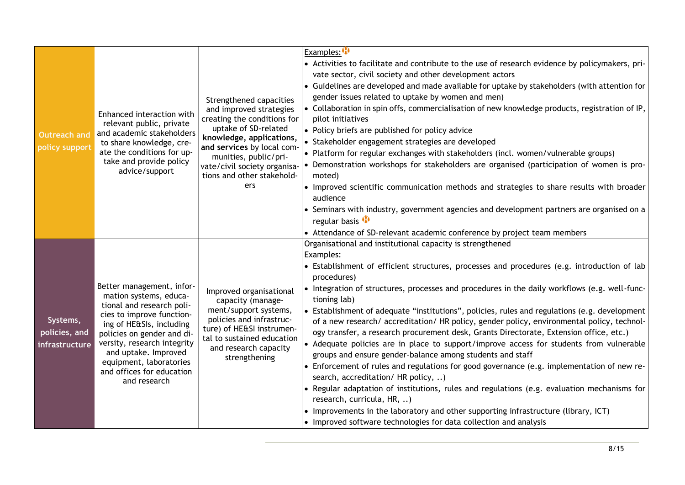|                                             |                                                                                                                                                                                                                                                                                                        |                                                                                                                                                                                                                                                                   | Examples: $\mathbf{\Phi}$                                                                                                                                                                                                                                                                                                                                                                                                                                                                                                                                                                                                                                                                                                                                                                                                                                                                                                                                                                                                                                                                                                                                                            |
|---------------------------------------------|--------------------------------------------------------------------------------------------------------------------------------------------------------------------------------------------------------------------------------------------------------------------------------------------------------|-------------------------------------------------------------------------------------------------------------------------------------------------------------------------------------------------------------------------------------------------------------------|--------------------------------------------------------------------------------------------------------------------------------------------------------------------------------------------------------------------------------------------------------------------------------------------------------------------------------------------------------------------------------------------------------------------------------------------------------------------------------------------------------------------------------------------------------------------------------------------------------------------------------------------------------------------------------------------------------------------------------------------------------------------------------------------------------------------------------------------------------------------------------------------------------------------------------------------------------------------------------------------------------------------------------------------------------------------------------------------------------------------------------------------------------------------------------------|
| <b>Outreach and</b><br>policy support       | Enhanced interaction with<br>relevant public, private<br>and academic stakeholders<br>to share knowledge, cre-<br>ate the conditions for up-<br>take and provide policy<br>advice/support                                                                                                              | Strengthened capacities<br>and improved strategies<br>creating the conditions for<br>uptake of SD-related<br>knowledge, applications,<br>and services by local com-<br>munities, public/pri-<br>vate/civil society organisa-<br>tions and other stakehold-<br>ers | • Activities to facilitate and contribute to the use of research evidence by policymakers, pri-<br>vate sector, civil society and other development actors<br>• Guidelines are developed and made available for uptake by stakeholders (with attention for<br>gender issues related to uptake by women and men)<br>• Collaboration in spin offs, commercialisation of new knowledge products, registration of IP,<br>pilot initiatives<br>• Policy briefs are published for policy advice<br>• Stakeholder engagement strategies are developed<br>. Platform for regular exchanges with stakeholders (incl. women/vulnerable groups)<br>Demonstration workshops for stakeholders are organised (participation of women is pro-<br>moted)<br>• Improved scientific communication methods and strategies to share results with broader<br>audience<br>• Seminars with industry, government agencies and development partners are organised on a<br>regular basis <sup>1</sup><br>• Attendance of SD-relevant academic conference by project team members                                                                                                                               |
| Systems,<br>policies, and<br>infrastructure | Better management, infor-<br>mation systems, educa-<br>tional and research poli-<br>cies to improve function-<br>ing of HE&SIs, including<br>policies on gender and di-<br>versity, research integrity<br>and uptake. Improved<br>equipment, laboratories<br>and offices for education<br>and research | Improved organisational<br>capacity (manage-<br>ment/support systems,<br>policies and infrastruc-<br>ture) of HE&SI instrumen-<br>tal to sustained education<br>and research capacity<br>strengthening                                                            | Organisational and institutional capacity is strengthened<br>Examples:<br>• Establishment of efficient structures, processes and procedures (e.g. introduction of lab<br>procedures)<br>• Integration of structures, processes and procedures in the daily workflows (e.g. well-func-<br>tioning lab)<br>• Establishment of adequate "institutions", policies, rules and regulations (e.g. development<br>of a new research/ accreditation/ HR policy, gender policy, environmental policy, technol-<br>ogy transfer, a research procurement desk, Grants Directorate, Extension office, etc.)<br>• Adequate policies are in place to support/improve access for students from vulnerable<br>groups and ensure gender-balance among students and staff<br>• Enforcement of rules and regulations for good governance (e.g. implementation of new re-<br>search, accreditation/ HR policy, )<br>• Regular adaptation of institutions, rules and regulations (e.g. evaluation mechanisms for<br>research, curricula, HR, )<br>• Improvements in the laboratory and other supporting infrastructure (library, ICT)<br>• Improved software technologies for data collection and analysis |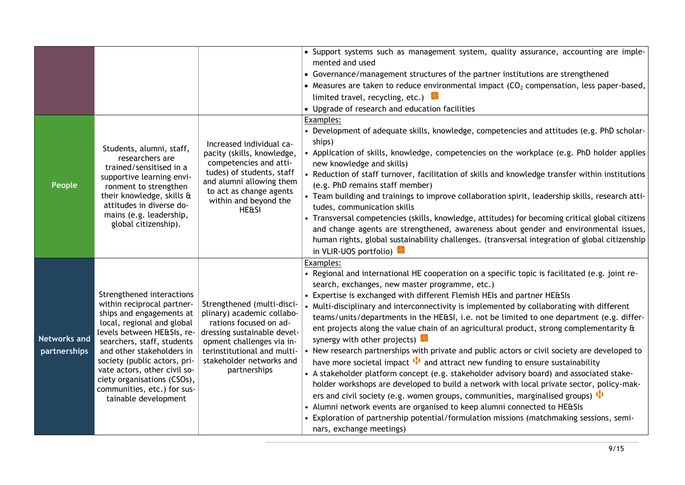| People                              | Students, alumni, staff,<br>researchers are<br>trained/sensitised in a<br>supportive learning envi-<br>ronment to strengthen<br>their knowledge, skills &<br>attitudes in diverse do-<br>mains (e.g. leadership,<br>global citizenship).                                                                                                                         | Increased individual ca-<br>pacity (skills, knowledge,<br>competencies and atti-<br>tudes) of students, staff<br>and alumni allowing them<br>to act as change agents<br>within and beyond the<br><b>HE&amp;SI</b>         | • Support systems such as management system, quality assurance, accounting are imple-<br>mented and used<br>• Governance/management structures of the partner institutions are strengthened<br>• Measures are taken to reduce environmental impact $(CO2$ compensation, less paper-based,<br>limited travel, recycling, etc.)<br>• Upgrade of research and education facilities<br>Examples:<br>• Development of adequate skills, knowledge, competencies and attitudes (e.g. PhD scholar-<br>ships)<br>• Application of skills, knowledge, competencies on the workplace (e.g. PhD holder applies<br>new knowledge and skills)<br>• Reduction of staff turnover, facilitation of skills and knowledge transfer within institutions<br>(e.g. PhD remains staff member)<br>• Team building and trainings to improve collaboration spirit, leadership skills, research atti-<br>tudes, communication skills<br>• Transversal competencies (skills, knowledge, attitudes) for becoming critical global citizens<br>and change agents are strengthened, awareness about gender and environmental issues,<br>human rights, global sustainability challenges. (transversal integration of global citizenship<br>in VLIR-UOS portfolio)             |
|-------------------------------------|------------------------------------------------------------------------------------------------------------------------------------------------------------------------------------------------------------------------------------------------------------------------------------------------------------------------------------------------------------------|---------------------------------------------------------------------------------------------------------------------------------------------------------------------------------------------------------------------------|----------------------------------------------------------------------------------------------------------------------------------------------------------------------------------------------------------------------------------------------------------------------------------------------------------------------------------------------------------------------------------------------------------------------------------------------------------------------------------------------------------------------------------------------------------------------------------------------------------------------------------------------------------------------------------------------------------------------------------------------------------------------------------------------------------------------------------------------------------------------------------------------------------------------------------------------------------------------------------------------------------------------------------------------------------------------------------------------------------------------------------------------------------------------------------------------------------------------------------------------|
| <b>Networks and</b><br>partnerships | Strengthened interactions<br>within reciprocal partner-<br>ships and engagements at<br>local, regional and global<br>levels between HE&SIs, re-<br>searchers, staff, students<br>and other stakeholders in<br>society (public actors, pri-<br>vate actors, other civil so-<br>ciety organisations (CSOs),<br>communities, etc.) for sus-<br>tainable development | Strengthened (multi-disci-<br>plinary) academic collabo-<br>rations focused on ad-<br>dressing sustainable devel-<br>opment challenges via in-<br>terinstitutional and multi-<br>stakeholder networks and<br>partnerships | Examples:<br>• Regional and international HE cooperation on a specific topic is facilitated (e.g. joint re-<br>search, exchanges, new master programme, etc.)<br>• Expertise is exchanged with different Flemish HEIs and partner HE&SIs<br>• Multi-disciplinary and interconnectivity is implemented by collaborating with different<br>teams/units/departments in the HE&SI, i.e. not be limited to one department (e.g. differ-<br>ent projects along the value chain of an agricultural product, strong complementarity &<br>synergy with other projects)<br>• New research partnerships with private and public actors or civil society are developed to<br>have more societal impact $\bigoplus$ and attract new funding to ensure sustainability<br>• A stakeholder platform concept (e.g. stakeholder advisory board) and associated stake-<br>holder workshops are developed to build a network with local private sector, policy-mak-<br>ers and civil society (e.g. women groups, communities, marginalised groups) $\bullet$<br>• Alumni network events are organised to keep alumni connected to HE&SIs<br>• Exploration of partnership potential/formulation missions (matchmaking sessions, semi-<br>nars, exchange meetings) |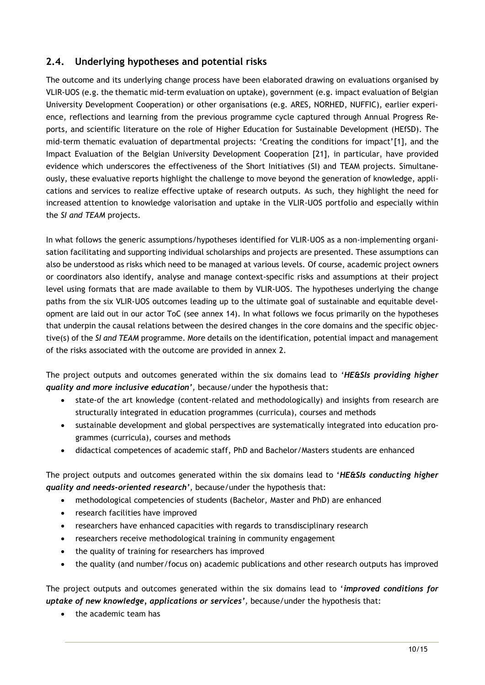#### **2.4. Underlying hypotheses and potential risks**

The outcome and its underlying change process have been elaborated drawing on evaluations organised by VLIR-UOS (e.g. the thematic mid-term evaluation on uptake), government (e.g. impact evaluation of Belgian University Development Cooperation) or other organisations (e.g. ARES, NORHED, NUFFIC), earlier experience, reflections and learning from the previous programme cycle captured through Annual Progress Reports, and scientific literature on the role of Higher Education for Sustainable Development (HEfSD). The mid-term thematic evaluation of departmental projects: 'Creating the conditions for impact'[1], and the Impact Evaluation of the Belgian University Development Cooperation [21], in particular, have provided evidence which underscores the effectiveness of the Short Initiatives (SI) and TEAM projects. Simultaneously, these evaluative reports highlight the challenge to move beyond the generation of knowledge, applications and services to realize effective uptake of research outputs. As such, they highlight the need for increased attention to knowledge valorisation and uptake in the VLIR-UOS portfolio and especially within the *SI and TEAM* projects.

In what follows the generic assumptions/hypotheses identified for VLIR-UOS as a non-implementing organisation facilitating and supporting individual scholarships and projects are presented. These assumptions can also be understood as risks which need to be managed at various levels. Of course, academic project owners or coordinators also identify, analyse and manage context-specific risks and assumptions at their project level using formats that are made available to them by VLIR-UOS. The hypotheses underlying the change paths from the six VLIR-UOS outcomes leading up to the ultimate goal of sustainable and equitable development are laid out in our actor ToC (see annex 14). In what follows we focus primarily on the hypotheses that underpin the causal relations between the desired changes in the core domains and the specific objective(s) of the *SI and TEAM* programme. More details on the identification, potential impact and management of the risks associated with the outcome are provided in annex 2.

The project outputs and outcomes generated within the six domains lead to '*HE&SIs providing higher quality and more inclusive education',* because/under the hypothesis that:

- state-of the art knowledge (content-related and methodologically) and insights from research are structurally integrated in education programmes (curricula), courses and methods
- sustainable development and global perspectives are systematically integrated into education programmes (curricula), courses and methods
- didactical competences of academic staff, PhD and Bachelor/Masters students are enhanced

The project outputs and outcomes generated within the six domains lead to '*HE&SIs conducting higher quality and needs-oriented research',* because/under the hypothesis that:

- methodological competencies of students (Bachelor, Master and PhD) are enhanced
- research facilities have improved
- researchers have enhanced capacities with regards to transdisciplinary research
- researchers receive methodological training in community engagement
- the quality of training for researchers has improved
- the quality (and number/focus on) academic publications and other research outputs has improved

The project outputs and outcomes generated within the six domains lead to '*improved conditions for uptake of new knowledge, applications or services',* because/under the hypothesis that:

• the academic team has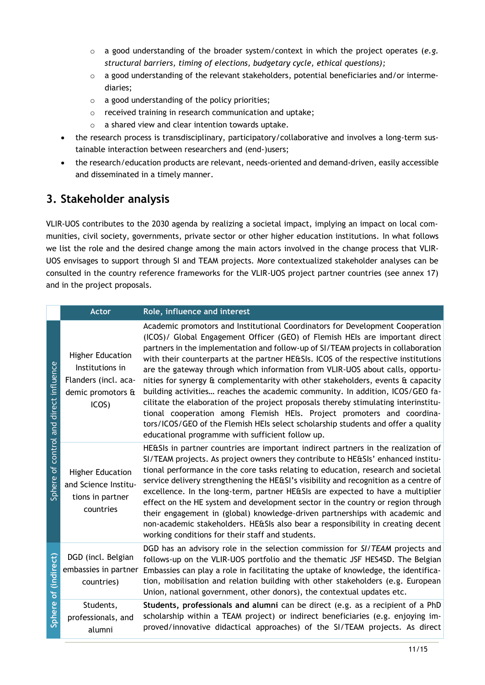- o a good understanding of the broader system/context in which the project operates (*e.g. structural barriers, timing of elections, budgetary cycle, ethical questions);*
- o a good understanding of the relevant stakeholders, potential beneficiaries and/or intermediaries;
- o a good understanding of the policy priorities;
- o received training in research communication and uptake;
- o a shared view and clear intention towards uptake.
- the research process is transdisciplinary, participatory/collaborative and involves a long-term sustainable interaction between researchers and (end-)users;
- the research/education products are relevant, needs-oriented and demand-driven, easily accessible and disseminated in a timely manner.

## **3. Stakeholder analysis**

VLIR-UOS contributes to the 2030 agenda by realizing a societal impact, implying an impact on local communities, civil society, governments, private sector or other higher education institutions. In what follows we list the role and the desired change among the main actors involved in the change process that VLIR-UOS envisages to support through SI and TEAM projects*.* More contextualized stakeholder analyses can be consulted in the country reference frameworks for the VLIR-UOS project partner countries (see annex 17) and in the project proposals.

|                                              | <b>Actor</b>                                                                                     | Role, influence and interest                                                                                                                                                                                                                                                                                                                                                                                                                                                                                                                                                                                                                                                                                                                                                                                                                                                                            |
|----------------------------------------------|--------------------------------------------------------------------------------------------------|---------------------------------------------------------------------------------------------------------------------------------------------------------------------------------------------------------------------------------------------------------------------------------------------------------------------------------------------------------------------------------------------------------------------------------------------------------------------------------------------------------------------------------------------------------------------------------------------------------------------------------------------------------------------------------------------------------------------------------------------------------------------------------------------------------------------------------------------------------------------------------------------------------|
| direct influence<br>of control and<br>Sphere | <b>Higher Education</b><br>Institutions in<br>Flanders (incl. aca-<br>demic promotors &<br>ICOS) | Academic promotors and Institutional Coordinators for Development Cooperation<br>(ICOS)/ Global Engagement Officer (GEO) of Flemish HEIs are important direct<br>partners in the implementation and follow-up of SI/TEAM projects in collaboration<br>with their counterparts at the partner HE&SIs. ICOS of the respective institutions<br>are the gateway through which information from VLIR-UOS about calls, opportu-<br>nities for synergy & complementarity with other stakeholders, events & capacity<br>building activities reaches the academic community. In addition, ICOS/GEO fa-<br>cilitate the elaboration of the project proposals thereby stimulating interinstitu-<br>tional cooperation among Flemish HEIs. Project promoters and coordina-<br>tors/ICOS/GEO of the Flemish HEIs select scholarship students and offer a quality<br>educational programme with sufficient follow up. |
|                                              | <b>Higher Education</b><br>and Science Institu-<br>tions in partner<br>countries                 | HE&SIs in partner countries are important indirect partners in the realization of<br>SI/TEAM projects. As project owners they contribute to HE&SIs' enhanced institu-<br>tional performance in the core tasks relating to education, research and societal<br>service delivery strengthening the HE&SI's visibility and recognition as a centre of<br>excellence. In the long-term, partner HE&SIs are expected to have a multiplier<br>effect on the HE system and development sector in the country or region through<br>their engagement in (global) knowledge-driven partnerships with academic and<br>non-academic stakeholders. HE&SIs also bear a responsibility in creating decent<br>working conditions for their staff and students.                                                                                                                                                          |
| (indirect)<br>$\overline{\bullet}$<br>Sphere | DGD (incl. Belgian<br>embassies in partner<br>countries)                                         | DGD has an advisory role in the selection commission for SI/TEAM projects and<br>follows-up on the VLIR-UOS portfolio and the thematic JSF HES4SD. The Belgian<br>Embassies can play a role in facilitating the uptake of knowledge, the identifica-<br>tion, mobilisation and relation building with other stakeholders (e.g. European<br>Union, national government, other donors), the contextual updates etc.                                                                                                                                                                                                                                                                                                                                                                                                                                                                                       |
|                                              | Students,<br>professionals, and<br>alumni                                                        | Students, professionals and alumni can be direct (e.g. as a recipient of a PhD<br>scholarship within a TEAM project) or indirect beneficiaries (e.g. enjoying im-<br>proved/innovative didactical approaches) of the SI/TEAM projects. As direct                                                                                                                                                                                                                                                                                                                                                                                                                                                                                                                                                                                                                                                        |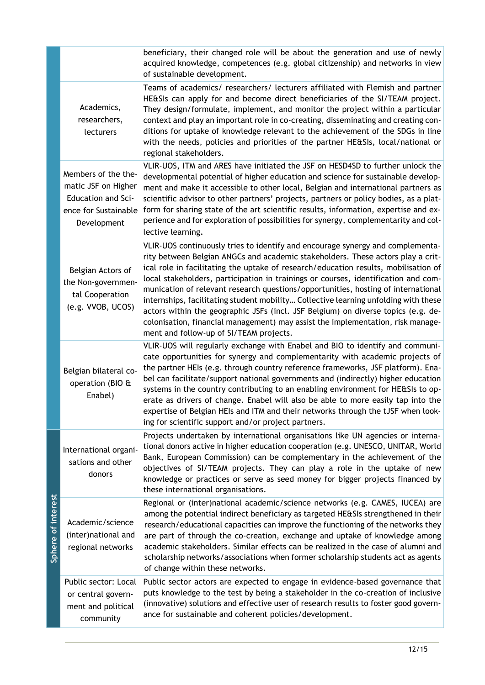|                    |                                                                                                                | beneficiary, their changed role will be about the generation and use of newly<br>acquired knowledge, competences (e.g. global citizenship) and networks in view<br>of sustainable development.                                                                                                                                                                                                                                                                                                                                                                                                                                                                                                                                                |
|--------------------|----------------------------------------------------------------------------------------------------------------|-----------------------------------------------------------------------------------------------------------------------------------------------------------------------------------------------------------------------------------------------------------------------------------------------------------------------------------------------------------------------------------------------------------------------------------------------------------------------------------------------------------------------------------------------------------------------------------------------------------------------------------------------------------------------------------------------------------------------------------------------|
|                    | Academics,<br>researchers,<br>lecturers                                                                        | Teams of academics/ researchers/ lecturers affiliated with Flemish and partner<br>HE&SIs can apply for and become direct beneficiaries of the SI/TEAM project.<br>They design/formulate, implement, and monitor the project within a particular<br>context and play an important role in co-creating, disseminating and creating con-<br>ditions for uptake of knowledge relevant to the achievement of the SDGs in line<br>with the needs, policies and priorities of the partner HE&SIs, local/national or<br>regional stakeholders.                                                                                                                                                                                                        |
|                    | Members of the the-<br>matic JSF on Higher<br><b>Education and Sci-</b><br>ence for Sustainable<br>Development | VLIR-UOS, ITM and ARES have initiated the JSF on HESD4SD to further unlock the<br>developmental potential of higher education and science for sustainable develop-<br>ment and make it accessible to other local, Belgian and international partners as<br>scientific advisor to other partners' projects, partners or policy bodies, as a plat-<br>form for sharing state of the art scientific results, information, expertise and ex-<br>perience and for exploration of possibilities for synergy, complementarity and col-<br>lective learning.                                                                                                                                                                                          |
|                    | Belgian Actors of<br>the Non-governmen-<br>tal Cooperation<br>(e.g. VVOB, UCOS)                                | VLIR-UOS continuously tries to identify and encourage synergy and complementa-<br>rity between Belgian ANGCs and academic stakeholders. These actors play a crit-<br>ical role in facilitating the uptake of research/education results, mobilisation of<br>local stakeholders, participation in trainings or courses, identification and com-<br>munication of relevant research questions/opportunities, hosting of international<br>internships, facilitating student mobility Collective learning unfolding with these<br>actors within the geographic JSFs (incl. JSF Belgium) on diverse topics (e.g. de-<br>colonisation, financial management) may assist the implementation, risk manage-<br>ment and follow-up of SI/TEAM projects. |
|                    | Belgian bilateral co-<br>operation (BIO &<br>Enabel)                                                           | VLIR-UOS will regularly exchange with Enabel and BIO to identify and communi-<br>cate opportunities for synergy and complementarity with academic projects of<br>the partner HEIs (e.g. through country reference frameworks, JSF platform). Ena-<br>bel can facilitate/support national governments and (indirectly) higher education<br>systems in the country contributing to an enabling environment for HE&SIs to op-<br>erate as drivers of change. Enabel will also be able to more easily tap into the<br>expertise of Belgian HEIs and ITM and their networks through the tJSF when look-<br>ing for scientific support and/or project partners.                                                                                     |
|                    | International organi-<br>sations and other<br>donors                                                           | Projects undertaken by international organisations like UN agencies or interna-<br>tional donors active in higher education cooperation (e.g. UNESCO, UNITAR, World<br>Bank, European Commission) can be complementary in the achievement of the<br>objectives of SI/TEAM projects. They can play a role in the uptake of new<br>knowledge or practices or serve as seed money for bigger projects financed by<br>these international organisations.                                                                                                                                                                                                                                                                                          |
| Sphere of interest | Academic/science<br>(inter)national and<br>regional networks                                                   | Regional or (inter)national academic/science networks (e.g. CAMES, IUCEA) are<br>among the potential indirect beneficiary as targeted HE&SIs strengthened in their<br>research/educational capacities can improve the functioning of the networks they<br>are part of through the co-creation, exchange and uptake of knowledge among<br>academic stakeholders. Similar effects can be realized in the case of alumni and<br>scholarship networks/associations when former scholarship students act as agents<br>of change within these networks.                                                                                                                                                                                             |
|                    | Public sector: Local<br>or central govern-<br>ment and political<br>community                                  | Public sector actors are expected to engage in evidence-based governance that<br>puts knowledge to the test by being a stakeholder in the co-creation of inclusive<br>(innovative) solutions and effective user of research results to foster good govern-<br>ance for sustainable and coherent policies/development.                                                                                                                                                                                                                                                                                                                                                                                                                         |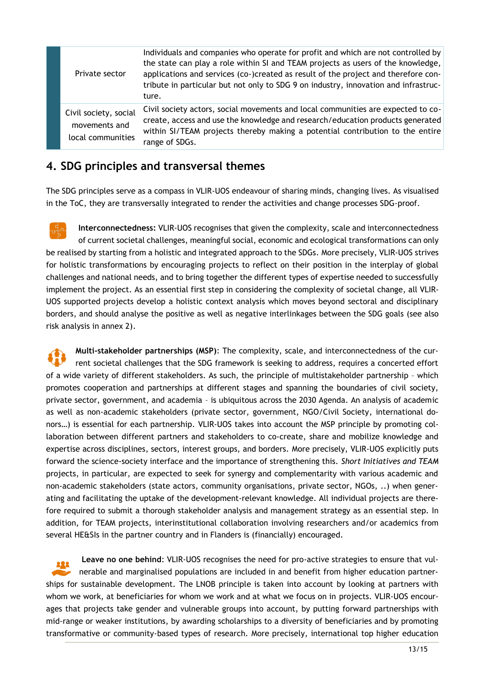| Private sector                                              | Individuals and companies who operate for profit and which are not controlled by<br>the state can play a role within SI and TEAM projects as users of the knowledge,<br>applications and services (co-)created as result of the project and therefore con-<br>tribute in particular but not only to SDG 9 on industry, innovation and infrastruc-<br>ture. |
|-------------------------------------------------------------|------------------------------------------------------------------------------------------------------------------------------------------------------------------------------------------------------------------------------------------------------------------------------------------------------------------------------------------------------------|
| Civil society, social<br>movements and<br>local communities | Civil society actors, social movements and local communities are expected to co-<br>create, access and use the knowledge and research/education products generated<br>within SI/TEAM projects thereby making a potential contribution to the entire<br>range of SDGs.                                                                                      |

### **4. SDG principles and transversal themes**

The SDG principles serve as a compass in VLIR-UOS endeavour of sharing minds, changing lives. As visualised in the ToC, they are transversally integrated to render the activities and change processes SDG-proof.

**Interconnectedness:** VLIR-UOS recognises that given the complexity, scale and interconnectedness of current societal challenges, meaningful social, economic and ecological transformations can only be realised by starting from a holistic and integrated approach to the SDGs. More precisely, VLIR-UOS strives for holistic transformations by encouraging projects to reflect on their position in the interplay of global challenges and national needs, and to bring together the different types of expertise needed to successfully implement the project. As an essential first step in considering the complexity of societal change, all VLIR-UOS supported projects develop a holistic context analysis which moves beyond sectoral and disciplinary borders, and should analyse the positive as well as negative interlinkages between the SDG goals (see also risk analysis in annex 2).

**Multi-stakeholder partnerships (MSP)**: The complexity, scale, and interconnectedness of the current societal challenges that the SDG framework is seeking to address, requires a concerted effort of a wide variety of different stakeholders. As such, the principle of multistakeholder partnership – which promotes cooperation and partnerships at different stages and spanning the boundaries of civil society, private sector, government, and academia – is ubiquitous across the 2030 Agenda. An analysis of academic as well as non-academic stakeholders (private sector, government, NGO/Civil Society, international donors…) is essential for each partnership. VLIR-UOS takes into account the MSP principle by promoting collaboration between different partners and stakeholders to co-create, share and mobilize knowledge and expertise across disciplines, sectors, interest groups, and borders. More precisely, VLIR-UOS explicitly puts forward the science-society interface and the importance of strengthening this. *Short Initiatives and TEAM*  projects, in particular, are expected to seek for synergy and complementarity with various academic and non-academic stakeholders (state actors, community organisations, private sector, NGOs, ..) when generating and facilitating the uptake of the development-relevant knowledge. All individual projects are therefore required to submit a thorough stakeholder analysis and management strategy as an essential step. In addition, for TEAM projects, interinstitutional collaboration involving researchers and/or academics from several HE&SIs in the partner country and in Flanders is (financially) encouraged.

**Leave no one behind**: VLIR-UOS recognises the need for pro-active strategies to ensure that vulnerable and marginalised populations are included in and benefit from higher education partnerships for sustainable development. The LNOB principle is taken into account by looking at partners with whom we work, at beneficiaries for whom we work and at what we focus on in projects. VLIR-UOS encourages that projects take gender and vulnerable groups into account, by putting forward partnerships with mid-range or weaker institutions, by awarding scholarships to a diversity of beneficiaries and by promoting transformative or community-based types of research. More precisely, international top higher education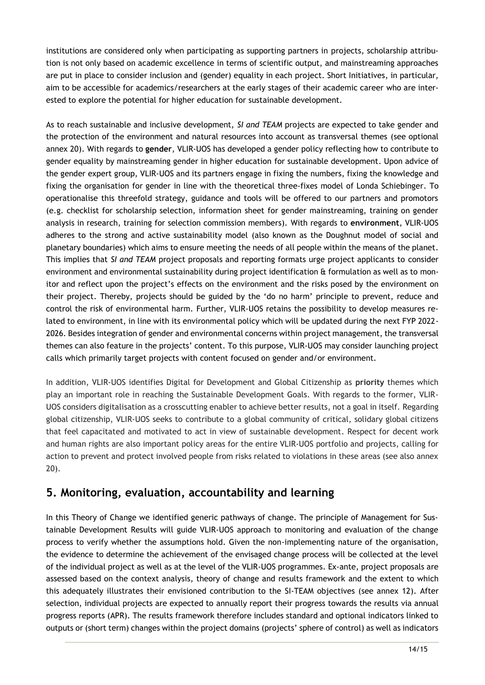institutions are considered only when participating as supporting partners in projects, scholarship attribution is not only based on academic excellence in terms of scientific output, and mainstreaming approaches are put in place to consider inclusion and (gender) equality in each project. Short Initiatives, in particular, aim to be accessible for academics/researchers at the early stages of their academic career who are interested to explore the potential for higher education for sustainable development.

As to reach sustainable and inclusive development, *SI and TEAM* projects are expected to take gender and the protection of the environment and natural resources into account as transversal themes (see optional annex 20). With regards to **gender**, VLIR-UOS has developed a gender policy reflecting how to contribute to gender equality by mainstreaming gender in higher education for sustainable development. Upon advice of the gender expert group, VLIR-UOS and its partners engage in fixing the numbers, fixing the knowledge and fixing the organisation for gender in line with the theoretical three-fixes model of Londa Schiebinger. To operationalise this threefold strategy, guidance and tools will be offered to our partners and promotors (e.g. checklist for scholarship selection, information sheet for gender mainstreaming, training on gender analysis in research, training for selection commission members). With regards to **environment**, VLIR-UOS adheres to the strong and active sustainability model (also known as the Doughnut model of social and planetary boundaries) which aims to ensure meeting the needs of all people within the means of the planet. This implies that *SI and TEAM* project proposals and reporting formats urge project applicants to consider environment and environmental sustainability during project identification & formulation as well as to monitor and reflect upon the project's effects on the environment and the risks posed by the environment on their project. Thereby, projects should be guided by the 'do no harm' principle to prevent, reduce and control the risk of environmental harm. Further, VLIR-UOS retains the possibility to develop measures related to environment, in line with its environmental policy which will be updated during the next FYP 2022- 2026. Besides integration of gender and environmental concerns within project management, the transversal themes can also feature in the projects' content. To this purpose, VLIR-UOS may consider launching project calls which primarily target projects with content focused on gender and/or environment.

In addition, VLIR-UOS identifies Digital for Development and Global Citizenship as **priority** themes which play an important role in reaching the Sustainable Development Goals. With regards to the former, VLIR-UOS considers digitalisation as a crosscutting enabler to achieve better results, not a goal in itself. Regarding global citizenship, VLIR-UOS seeks to contribute to a global community of critical, solidary global citizens that feel capacitated and motivated to act in view of sustainable development. Respect for decent work and human rights are also important policy areas for the entire VLIR-UOS portfolio and projects, calling for action to prevent and protect involved people from risks related to violations in these areas (see also annex 20).

## **5. Monitoring, evaluation, accountability and learning**

In this Theory of Change we identified generic pathways of change. The principle of Management for Sustainable Development Results will guide VLIR-UOS approach to monitoring and evaluation of the change process to verify whether the assumptions hold. Given the non-implementing nature of the organisation, the evidence to determine the achievement of the envisaged change process will be collected at the level of the individual project as well as at the level of the VLIR-UOS programmes. Ex-ante, project proposals are assessed based on the context analysis, theory of change and results framework and the extent to which this adequately illustrates their envisioned contribution to the SI-TEAM objectives (see annex 12). After selection, individual projects are expected to annually report their progress towards the results via annual progress reports (APR). The results framework therefore includes standard and optional indicators linked to outputs or (short term) changes within the project domains (projects' sphere of control) as well as indicators